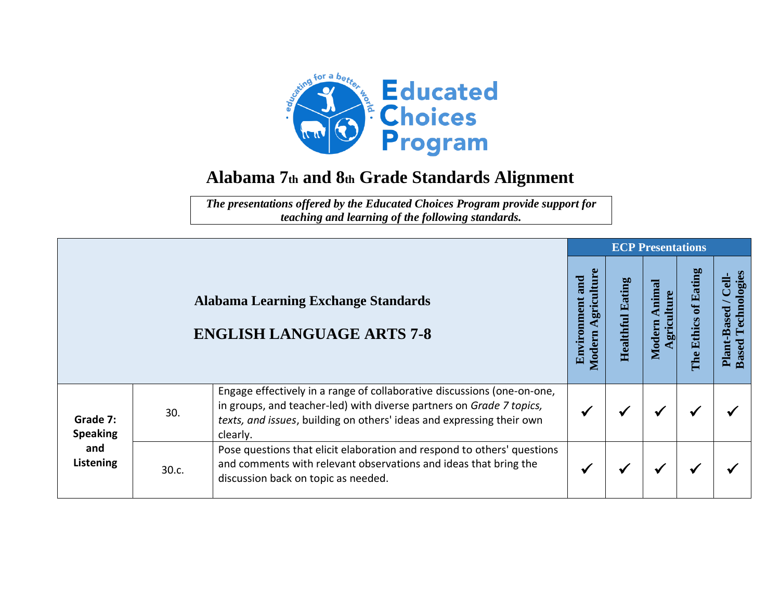

## **Alabama 7th and 8th Grade Standards Alignment**

*The presentations offered by the Educated Choices Program provide support for teaching and learning of the following standards.*

|                                                        |       |                                                                                                                                                                                                                                      |                                            |                            | <b>ECP Presentations</b>       |                         |                                                             |
|--------------------------------------------------------|-------|--------------------------------------------------------------------------------------------------------------------------------------------------------------------------------------------------------------------------------------|--------------------------------------------|----------------------------|--------------------------------|-------------------------|-------------------------------------------------------------|
|                                                        |       | <b>Alabama Learning Exchange Standards</b><br><b>ENGLISH LANGUAGE ARTS 7-8</b>                                                                                                                                                       | griculture<br>and<br>Environment<br>Modern | Eating<br><b>Healthful</b> | Animal<br>griculture<br>Modern | of Eating<br>The Ethics | Technologies<br><b>Cell-</b><br>Plant-Based<br><b>Based</b> |
| Grade 7:<br><b>Speaking</b><br>and<br><b>Listening</b> | 30.   | Engage effectively in a range of collaborative discussions (one-on-one,<br>in groups, and teacher-led) with diverse partners on Grade 7 topics,<br>texts, and issues, building on others' ideas and expressing their own<br>clearly. | ✔                                          |                            | ✔                              |                         |                                                             |
|                                                        | 30.c. | Pose questions that elicit elaboration and respond to others' questions<br>and comments with relevant observations and ideas that bring the<br>discussion back on topic as needed.                                                   | $\checkmark$                               | $\checkmark$               | ✔                              | ✔                       |                                                             |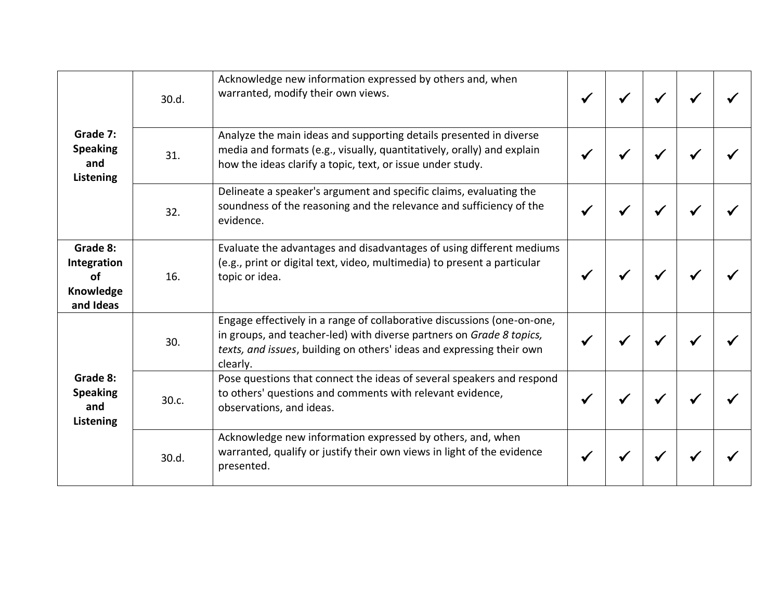| Grade 7:<br><b>Speaking</b><br>and<br>Listening         | 30.d. | Acknowledge new information expressed by others and, when<br>warranted, modify their own views.                                                                                                                                      |  |  |  |
|---------------------------------------------------------|-------|--------------------------------------------------------------------------------------------------------------------------------------------------------------------------------------------------------------------------------------|--|--|--|
|                                                         | 31.   | Analyze the main ideas and supporting details presented in diverse<br>media and formats (e.g., visually, quantitatively, orally) and explain<br>how the ideas clarify a topic, text, or issue under study.                           |  |  |  |
|                                                         | 32.   | Delineate a speaker's argument and specific claims, evaluating the<br>soundness of the reasoning and the relevance and sufficiency of the<br>evidence.                                                                               |  |  |  |
| Grade 8:<br>Integration<br>of<br>Knowledge<br>and Ideas | 16.   | Evaluate the advantages and disadvantages of using different mediums<br>(e.g., print or digital text, video, multimedia) to present a particular<br>topic or idea.                                                                   |  |  |  |
| Grade 8:<br><b>Speaking</b><br>and<br>Listening         | 30.   | Engage effectively in a range of collaborative discussions (one-on-one,<br>in groups, and teacher-led) with diverse partners on Grade 8 topics,<br>texts, and issues, building on others' ideas and expressing their own<br>clearly. |  |  |  |
|                                                         | 30.c. | Pose questions that connect the ideas of several speakers and respond<br>to others' questions and comments with relevant evidence,<br>observations, and ideas.                                                                       |  |  |  |
|                                                         | 30.d. | Acknowledge new information expressed by others, and, when<br>warranted, qualify or justify their own views in light of the evidence<br>presented.                                                                                   |  |  |  |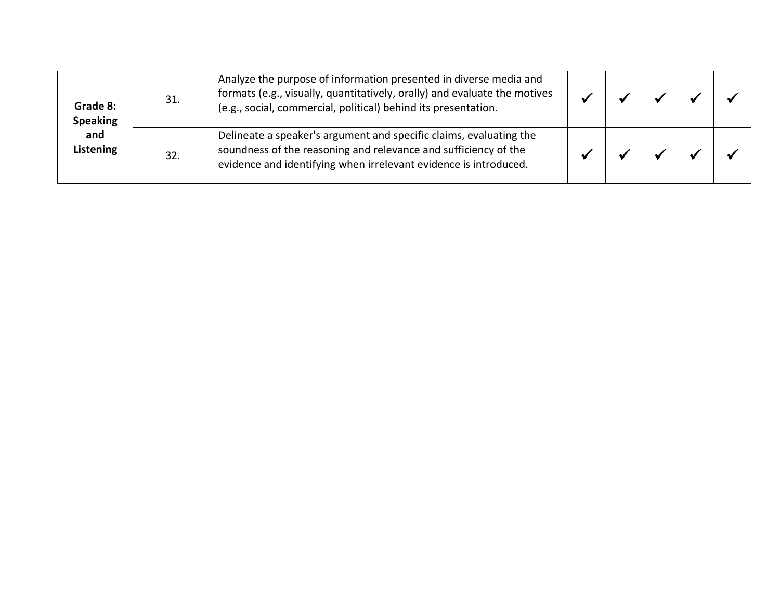| Grade 8:<br><b>Speaking</b><br>and<br>Listening | 31. | Analyze the purpose of information presented in diverse media and<br>formats (e.g., visually, quantitatively, orally) and evaluate the motives<br>(e.g., social, commercial, political) behind its presentation. |  |  |  |
|-------------------------------------------------|-----|------------------------------------------------------------------------------------------------------------------------------------------------------------------------------------------------------------------|--|--|--|
|                                                 | 32. | Delineate a speaker's argument and specific claims, evaluating the<br>soundness of the reasoning and relevance and sufficiency of the<br>evidence and identifying when irrelevant evidence is introduced.        |  |  |  |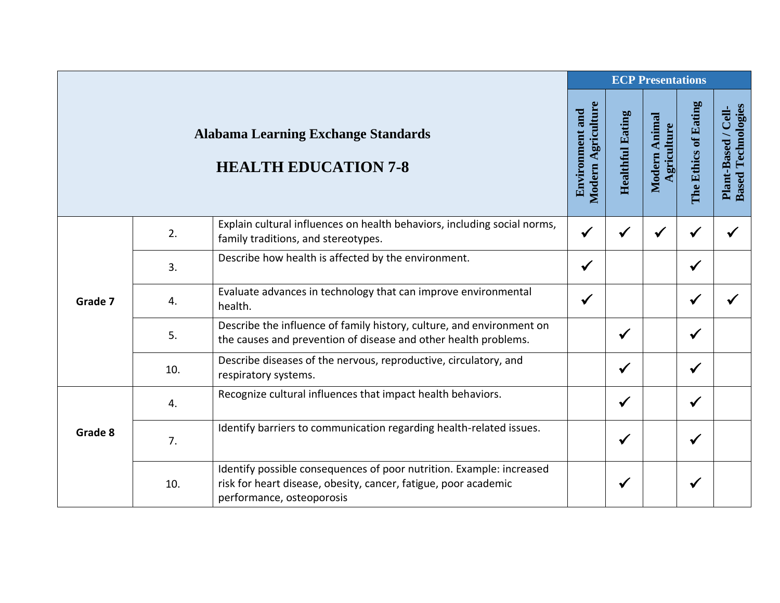|         |     |                                                                                                                                                                      |                                              |                         | <b>ECP Presentations</b>     |                      |                                                  |
|---------|-----|----------------------------------------------------------------------------------------------------------------------------------------------------------------------|----------------------------------------------|-------------------------|------------------------------|----------------------|--------------------------------------------------|
|         |     | <b>Alabama Learning Exchange Standards</b><br><b>HEALTH EDUCATION 7-8</b>                                                                                            | Modern Agriculture<br><b>Environment and</b> | <b>Healthful Eating</b> | Modern Animal<br>Agriculture | The Ethics of Eating | <b>Based Technologies</b><br>Plant-Based / Cell- |
| Grade 7 | 2.  | Explain cultural influences on health behaviors, including social norms,<br>family traditions, and stereotypes.                                                      | $\checkmark$                                 | ✔                       | ✔                            |                      |                                                  |
|         | 3.  | Describe how health is affected by the environment.                                                                                                                  | $\checkmark$                                 |                         |                              | $\checkmark$         |                                                  |
|         | 4.  | Evaluate advances in technology that can improve environmental<br>health.                                                                                            | $\checkmark$                                 |                         |                              | ✔                    |                                                  |
|         | 5.  | Describe the influence of family history, culture, and environment on<br>the causes and prevention of disease and other health problems.                             |                                              | $\checkmark$            |                              | $\checkmark$         |                                                  |
|         | 10. | Describe diseases of the nervous, reproductive, circulatory, and<br>respiratory systems.                                                                             |                                              | $\checkmark$            |                              | $\checkmark$         |                                                  |
| Grade 8 | 4.  | Recognize cultural influences that impact health behaviors.                                                                                                          |                                              | $\checkmark$            |                              | $\checkmark$         |                                                  |
|         | 7.  | Identify barriers to communication regarding health-related issues.                                                                                                  |                                              | $\checkmark$            |                              | $\checkmark$         |                                                  |
|         | 10. | Identify possible consequences of poor nutrition. Example: increased<br>risk for heart disease, obesity, cancer, fatigue, poor academic<br>performance, osteoporosis |                                              | $\checkmark$            |                              | $\checkmark$         |                                                  |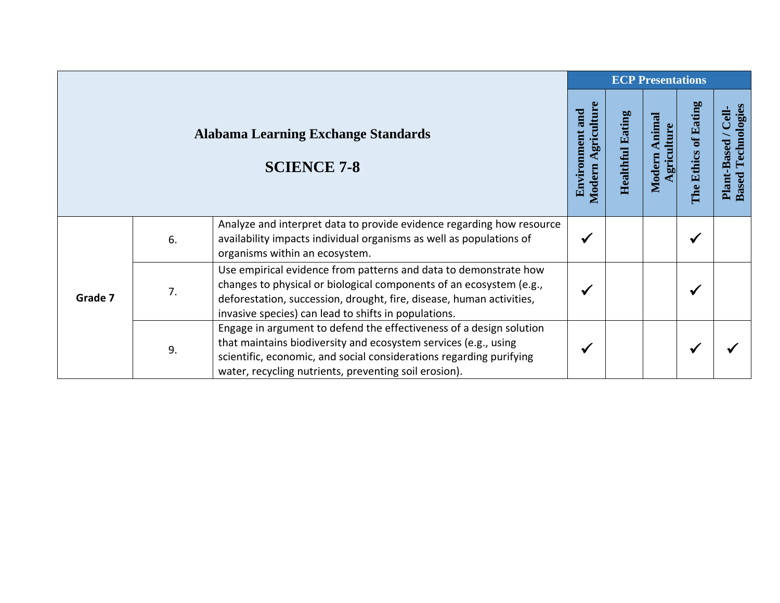|                                                                  |    |                                                                                                                                                                                                                                                                         |              | <b>ECP Presentations</b> |                                |                         |                                                             |  |  |
|------------------------------------------------------------------|----|-------------------------------------------------------------------------------------------------------------------------------------------------------------------------------------------------------------------------------------------------------------------------|--------------|--------------------------|--------------------------------|-------------------------|-------------------------------------------------------------|--|--|
| <b>Alabama Learning Exchange Standards</b><br><b>SCIENCE 7-8</b> |    |                                                                                                                                                                                                                                                                         |              |                          | Animal<br>griculture<br>Modern | of Eating<br>The Ethics | Technologies<br><b>Cell-</b><br>Plant-Based<br><b>Based</b> |  |  |
| Grade 7                                                          | 6. | Analyze and interpret data to provide evidence regarding how resource<br>availability impacts individual organisms as well as populations of<br>organisms within an ecosystem.                                                                                          | √            |                          |                                | ✔                       |                                                             |  |  |
|                                                                  | 7. | Use empirical evidence from patterns and data to demonstrate how<br>changes to physical or biological components of an ecosystem (e.g.,<br>deforestation, succession, drought, fire, disease, human activities,<br>invasive species) can lead to shifts in populations. | $\checkmark$ |                          |                                |                         |                                                             |  |  |
|                                                                  | 9. | Engage in argument to defend the effectiveness of a design solution<br>that maintains biodiversity and ecosystem services (e.g., using<br>scientific, economic, and social considerations regarding purifying<br>water, recycling nutrients, preventing soil erosion).  | $\checkmark$ |                          |                                |                         |                                                             |  |  |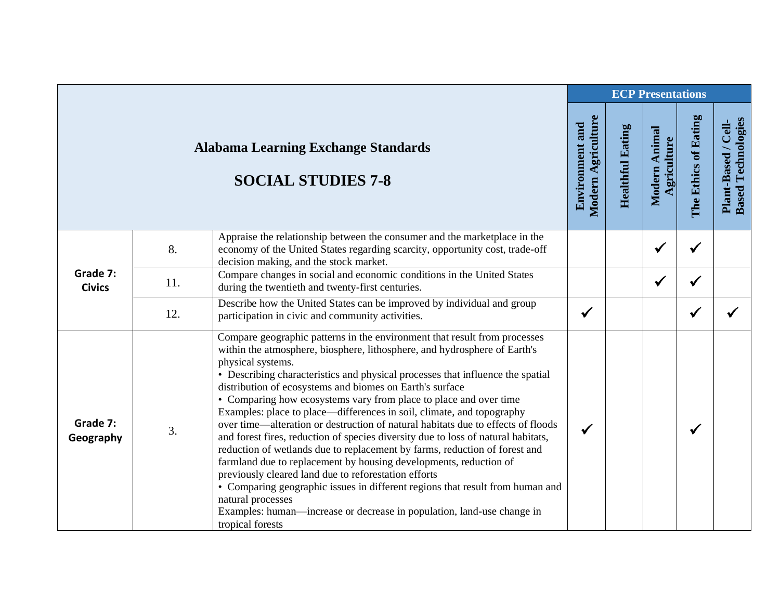|                           |     |                                                                                                                                                                                                                                                                                                                                                                                                                                                                                                                                                                                                                                                                                                                                                                                                                                                                                                                                                                                                                                                                 |                                              |                         | <b>ECP Presentations</b>     |                      |                                                  |
|---------------------------|-----|-----------------------------------------------------------------------------------------------------------------------------------------------------------------------------------------------------------------------------------------------------------------------------------------------------------------------------------------------------------------------------------------------------------------------------------------------------------------------------------------------------------------------------------------------------------------------------------------------------------------------------------------------------------------------------------------------------------------------------------------------------------------------------------------------------------------------------------------------------------------------------------------------------------------------------------------------------------------------------------------------------------------------------------------------------------------|----------------------------------------------|-------------------------|------------------------------|----------------------|--------------------------------------------------|
|                           |     | <b>Alabama Learning Exchange Standards</b><br><b>SOCIAL STUDIES 7-8</b>                                                                                                                                                                                                                                                                                                                                                                                                                                                                                                                                                                                                                                                                                                                                                                                                                                                                                                                                                                                         | Modern Agriculture<br><b>Environment and</b> | <b>Healthful Eating</b> | Modern Animal<br>Agriculture | The Ethics of Eating | <b>Based Technologies</b><br>Plant-Based / Cell- |
| Grade 7:<br><b>Civics</b> | 8.  | Appraise the relationship between the consumer and the marketplace in the<br>economy of the United States regarding scarcity, opportunity cost, trade-off<br>decision making, and the stock market.                                                                                                                                                                                                                                                                                                                                                                                                                                                                                                                                                                                                                                                                                                                                                                                                                                                             |                                              |                         | $\checkmark$                 | ✔                    |                                                  |
|                           | 11. | Compare changes in social and economic conditions in the United States<br>during the twentieth and twenty-first centuries.                                                                                                                                                                                                                                                                                                                                                                                                                                                                                                                                                                                                                                                                                                                                                                                                                                                                                                                                      |                                              |                         | $\checkmark$                 | $\checkmark$         |                                                  |
|                           | 12. | Describe how the United States can be improved by individual and group<br>participation in civic and community activities.                                                                                                                                                                                                                                                                                                                                                                                                                                                                                                                                                                                                                                                                                                                                                                                                                                                                                                                                      | $\checkmark$                                 |                         |                              | ✔                    |                                                  |
| Grade 7:<br>Geography     | 3.  | Compare geographic patterns in the environment that result from processes<br>within the atmosphere, biosphere, lithosphere, and hydrosphere of Earth's<br>physical systems.<br>• Describing characteristics and physical processes that influence the spatial<br>distribution of ecosystems and biomes on Earth's surface<br>• Comparing how ecosystems vary from place to place and over time<br>Examples: place to place—differences in soil, climate, and topography<br>over time—alteration or destruction of natural habitats due to effects of floods<br>and forest fires, reduction of species diversity due to loss of natural habitats,<br>reduction of wetlands due to replacement by farms, reduction of forest and<br>farmland due to replacement by housing developments, reduction of<br>previously cleared land due to reforestation efforts<br>• Comparing geographic issues in different regions that result from human and<br>natural processes<br>Examples: human—increase or decrease in population, land-use change in<br>tropical forests | $\checkmark$                                 |                         |                              | ✔                    |                                                  |